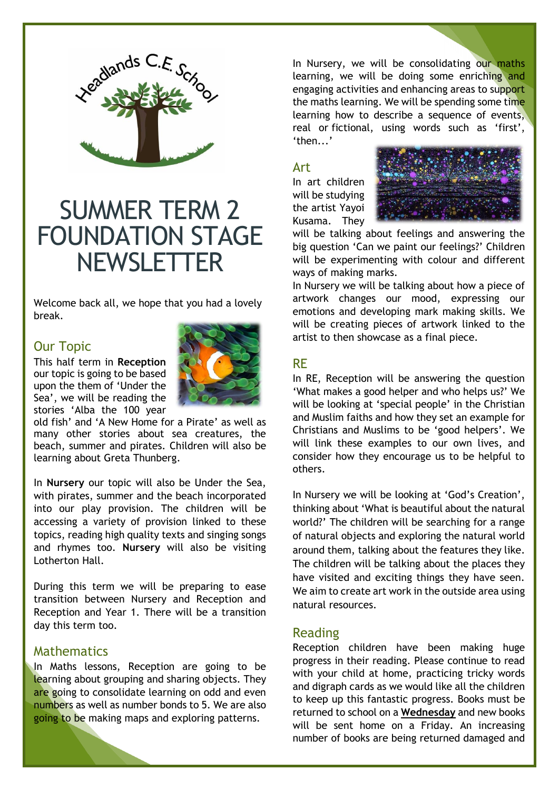

# SUMMER TERM 2 FOUNDATION STAGE **NEWSLETTER**

Welcome back all, we hope that you had a lovely break.

## Our Topic

This half term in **Reception** our topic is going to be based upon the them of 'Under the Sea', we will be reading the stories 'Alba the 100 year



old fish' and 'A New Home for a Pirate' as well as many other stories about sea creatures, the beach, summer and pirates. Children will also be learning about Greta Thunberg.

In **Nursery** our topic will also be Under the Sea, with pirates, summer and the beach incorporated into our play provision. The children will be accessing a variety of provision linked to these topics, reading high quality texts and singing songs and rhymes too. **Nursery** will also be visiting Lotherton Hall.

During this term we will be preparing to ease transition between Nursery and Reception and Reception and Year 1. There will be a transition day this term too.

## **Mathematics**

In Maths lessons, Reception are going to be learning about grouping and sharing objects. They are going to consolidate learning on odd and even numbers as well as number bonds to 5. We are also going to be making maps and exploring patterns.

In Nursery, we will be consolidating our maths learning, we will be doing some enriching and engaging activities and enhancing areas to support the maths learning. We will be spending some time learning how to describe a sequence of events, real or fictional, using words such as 'first', 'then...'

#### Art

In art children will be studying the artist Yayoi Kusama. They



will be talking about feelings and answering the big question 'Can we paint our feelings?' Children will be experimenting with colour and different ways of making marks.

In Nursery we will be talking about how a piece of artwork changes our mood, expressing our emotions and developing mark making skills. We will be creating pieces of artwork linked to the artist to then showcase as a final piece.

## RE

In RE, Reception will be answering the question 'What makes a good helper and who helps us?' We will be looking at 'special people' in the Christian and Muslim faiths and how they set an example for Christians and Muslims to be 'good helpers'. We will link these examples to our own lives, and consider how they encourage us to be helpful to others.

In Nursery we will be looking at 'God's Creation', thinking about 'What is beautiful about the natural world?' The children will be searching for a range of natural objects and exploring the natural world around them, talking about the features they like. The children will be talking about the places they have visited and exciting things they have seen. We aim to create art work in the outside area using natural resources.

## Reading

Reception children have been making huge progress in their reading. Please continue to read with your child at home, practicing tricky words and digraph cards as we would like all the children to keep up this fantastic progress. Books must be returned to school on a **Wednesday** and new books will be sent home on a Friday. An increasing number of books are being returned damaged and